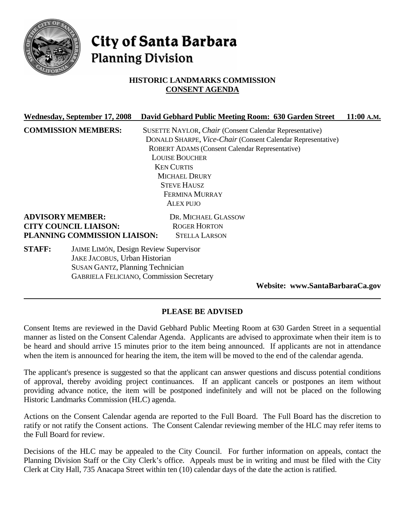

# City of Santa Barbara **Planning Division**

# **HISTORIC LANDMARKS COMMISSION CONSENT AGENDA**

|                                                                 | Wednesday, September 17, 2008                | David Gebhard Public Meeting Room: 630 Garden Street        | 11:00 A.M. |
|-----------------------------------------------------------------|----------------------------------------------|-------------------------------------------------------------|------------|
|                                                                 | <b>COMMISSION MEMBERS:</b>                   | SUSETTE NAYLOR, Chair (Consent Calendar Representative)     |            |
|                                                                 |                                              | DONALD SHARPE, Vice-Chair (Consent Calendar Representative) |            |
|                                                                 |                                              | ROBERT ADAMS (Consent Calendar Representative)              |            |
|                                                                 |                                              | <b>LOUISE BOUCHER</b>                                       |            |
| <b>KEN CURTIS</b><br><b>MICHAEL DRURY</b><br><b>STEVE HAUSZ</b> |                                              |                                                             |            |
|                                                                 |                                              |                                                             |            |
|                                                                 |                                              |                                                             |            |
|                                                                 |                                              | <b>FERMINA MURRAY</b>                                       |            |
|                                                                 |                                              | <b>ALEX PUJO</b>                                            |            |
|                                                                 | <b>ADVISORY MEMBER:</b>                      | DR. MICHAEL GLASSOW                                         |            |
| <b>CITY COUNCIL LIAISON:</b>                                    |                                              | <b>ROGER HORTON</b>                                         |            |
|                                                                 | PLANNING COMMISSION LIAISON:                 | <b>STELLA LARSON</b>                                        |            |
| <b>STAFF:</b>                                                   | <b>JAIME LIMÓN, Design Review Supervisor</b> |                                                             |            |
|                                                                 | JAKE JACOBUS, Urban Historian                |                                                             |            |
|                                                                 | <b>SUSAN GANTZ, Planning Technician</b>      |                                                             |            |
|                                                                 |                                              | <b>GABRIELA FELICIANO, Commission Secretary</b>             |            |

**Website: www.SantaBarbaraCa.gov** 

# **PLEASE BE ADVISED**

Consent Items are reviewed in the David Gebhard Public Meeting Room at 630 Garden Street in a sequential manner as listed on the Consent Calendar Agenda. Applicants are advised to approximate when their item is to be heard and should arrive 15 minutes prior to the item being announced. If applicants are not in attendance when the item is announced for hearing the item, the item will be moved to the end of the calendar agenda.

The applicant's presence is suggested so that the applicant can answer questions and discuss potential conditions of approval, thereby avoiding project continuances. If an applicant cancels or postpones an item without providing advance notice, the item will be postponed indefinitely and will not be placed on the following Historic Landmarks Commission (HLC) agenda.

Actions on the Consent Calendar agenda are reported to the Full Board. The Full Board has the discretion to ratify or not ratify the Consent actions. The Consent Calendar reviewing member of the HLC may refer items to the Full Board for review.

Decisions of the HLC may be appealed to the City Council. For further information on appeals, contact the Planning Division Staff or the City Clerk's office. Appeals must be in writing and must be filed with the City Clerk at City Hall, 735 Anacapa Street within ten (10) calendar days of the date the action is ratified.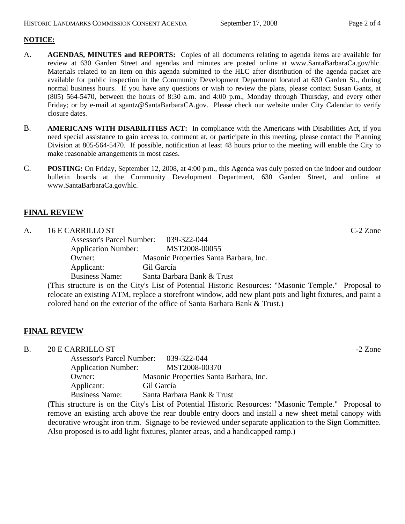#### **NOTICE:**

- A. **AGENDAS, MINUTES and REPORTS:** Copies of all documents relating to agenda items are available for review at 630 Garden Street and agendas and minutes are posted online at www.SantaBarbaraCa.gov/hlc. Materials related to an item on this agenda submitted to the HLC after distribution of the agenda packet are available for public inspection in the Community Development Department located at 630 Garden St., during normal business hours. If you have any questions or wish to review the plans, please contact Susan Gantz, at (805) 564-5470, between the hours of 8:30 a.m. and 4:00 p.m., Monday through Thursday, and every other Friday; or by e-mail at sgantz@SantaBarbaraCA.gov. Please check our website under City Calendar to verify closure dates.
- B. **AMERICANS WITH DISABILITIES ACT:** In compliance with the Americans with Disabilities Act, if you need special assistance to gain access to, comment at, or participate in this meeting, please contact the Planning Division at 805-564-5470. If possible, notification at least 48 hours prior to the meeting will enable the City to make reasonable arrangements in most cases.
- C. **POSTING:** On Friday, September 12, 2008, at 4:00 p.m., this Agenda was duly posted on the indoor and outdoor bulletin boards at the Community Development Department, 630 Garden Street, and online at www.SantaBarbaraCa.gov/hlc.

#### **FINAL REVIEW**

# A. 16 E CARRILLO ST C-2 Zone

 Assessor's Parcel Number: 039-322-044 Application Number: MST2008-00055 Owner: Masonic Properties Santa Barbara, Inc. Applicant: Gil García Business Name: Santa Barbara Bank & Trust

(This structure is on the City's List of Potential Historic Resources: "Masonic Temple." Proposal to relocate an existing ATM, replace a storefront window, add new plant pots and light fixtures, and paint a colored band on the exterior of the office of Santa Barbara Bank & Trust.)

#### **FINAL REVIEW**

B. 20 E CARRILLO ST  $-2$  Zone

| <b>Assessor's Parcel Number:</b> | 039-322-044                            |
|----------------------------------|----------------------------------------|
| <b>Application Number:</b>       | MST2008-00370                          |
| Owner:                           | Masonic Properties Santa Barbara, Inc. |
| Applicant:                       | Gil García                             |
| <b>Business Name:</b>            | Santa Barbara Bank & Trust             |

(This structure is on the City's List of Potential Historic Resources: "Masonic Temple." Proposal to remove an existing arch above the rear double entry doors and install a new sheet metal canopy with decorative wrought iron trim. Signage to be reviewed under separate application to the Sign Committee. Also proposed is to add light fixtures, planter areas, and a handicapped ramp.)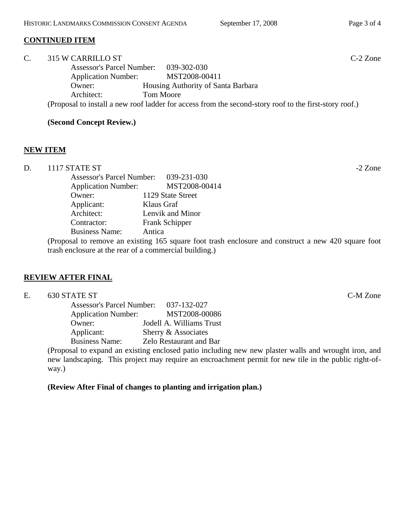#### **CONTINUED ITEM**

| C. | 315 W CARRILLO ST                |                                                                                                        | $C-2$ Zone |
|----|----------------------------------|--------------------------------------------------------------------------------------------------------|------------|
|    | <b>Assessor's Parcel Number:</b> | 039-302-030                                                                                            |            |
|    | <b>Application Number:</b>       | MST2008-00411                                                                                          |            |
|    | Owner:                           | Housing Authority of Santa Barbara                                                                     |            |
|    | Architect:                       | <b>Tom Moore</b>                                                                                       |            |
|    |                                  | (Proposal to install a new roof ladder for access from the second-story roof to the first-story roof.) |            |

#### **(Second Concept Review.)**

#### **NEW ITEM**

| D. | 1117 STATE ST              |                                       | $-2$ Zone |
|----|----------------------------|---------------------------------------|-----------|
|    |                            | Assessor's Parcel Number: 039-231-030 |           |
|    | <b>Application Number:</b> | MST2008-00414                         |           |
|    | Owner:                     | 1129 State Street                     |           |
|    | Applicant:                 | Klaus Graf                            |           |
|    | Architect:                 | Lenvik and Minor                      |           |
|    | Contractor:                | <b>Frank Schipper</b>                 |           |
|    | <b>Business Name:</b>      | Antica                                |           |
|    |                            |                                       |           |

(Proposal to remove an existing 165 square foot trash enclosure and construct a new 420 square foot trash enclosure at the rear of a commercial building.)

#### **REVIEW AFTER FINAL**

| C-M Zone<br>630 STATE ST<br>⊷. |  |
|--------------------------------|--|
|--------------------------------|--|

| <b>Assessor's Parcel Number:</b> | 037-132-027                    |
|----------------------------------|--------------------------------|
| <b>Application Number:</b>       | MST2008-00086                  |
| Owner:                           | Jodell A. Williams Trust       |
| Applicant:                       | Sherry & Associates            |
| <b>Business Name:</b>            | <b>Zelo Restaurant and Bar</b> |

(Proposal to expand an existing enclosed patio including new new plaster walls and wrought iron, and new landscaping. This project may require an encroachment permit for new tile in the public right-ofway.)

#### **(Review After Final of changes to planting and irrigation plan.)**